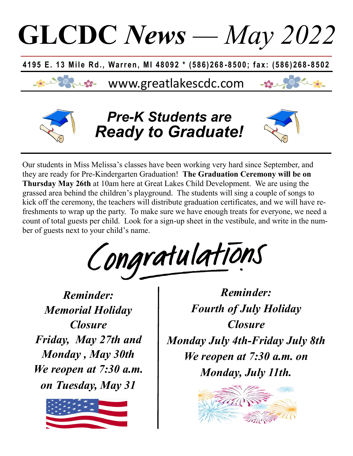

Our students in Miss Melissa's classes have been working very hard since September, and they are ready for Pre-Kindergarten Graduation! **The Graduation Ceremony will be on Thursday May 26th** at 10am here at Great Lakes Child Development. We are using the grassed area behind the children's playground. The students will sing a couple of songs to kick off the ceremony, the teachers will distribute graduation certificates, and we will have refreshments to wrap up the party. To make sure we have enough treats for everyone, we need a count of total guests per child. Look for a sign-up sheet in the vestibule, and write in the number of guests next to your child's name.

Congratulations

*Reminder: Memorial Holiday Closure Friday, May 27th and Monday , May 30th We reopen at 7:30 a.m. on Tuesday, May 31*



*Reminder: Fourth of July Holiday Closure Monday July 4th-Friday July 8th We reopen at 7:30 a.m. on Monday, July 11th.*